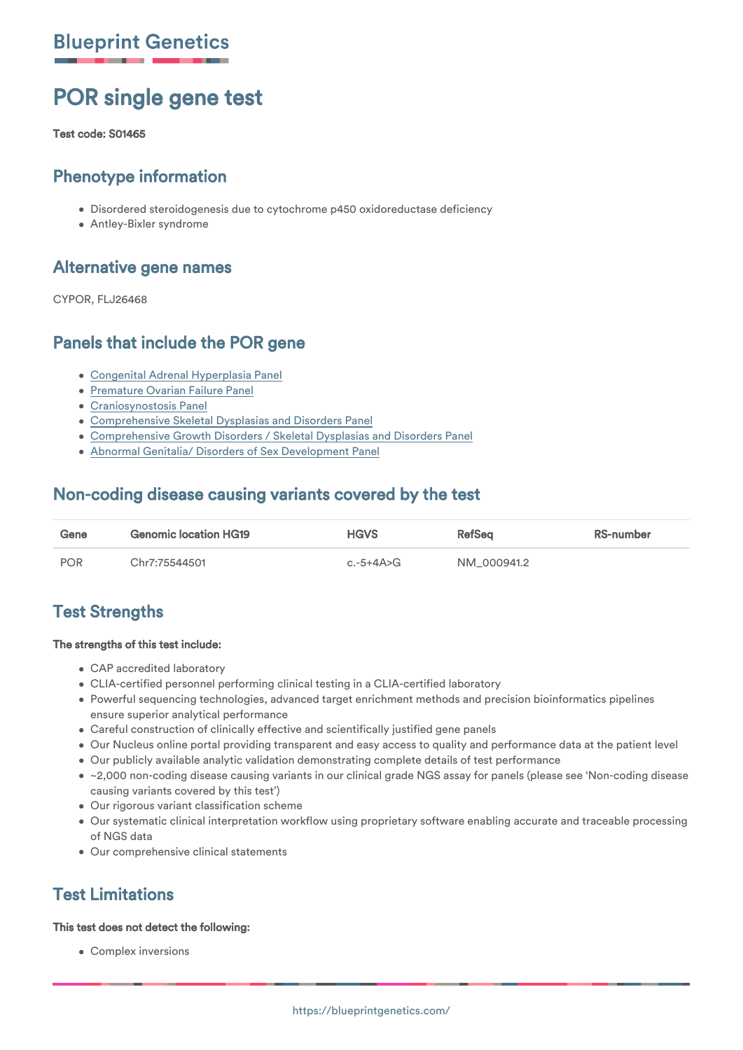# POR single gene test

Test code: S01465

## Phenotype information

- Disordered steroidogenesis due to cytochrome p450 oxidoreductase deficiency
- Antley-Bixler syndrome

### Alternative gene names

CYPOR, FLJ26468

## Panels that include the POR gene

- [Congenital Adrenal Hyperplasia Panel](https://blueprintgenetics.com/tests/panels/endocrinology/congenital-adrenal-hyperplasia-panel/)
- **[Premature Ovarian Failure Panel](https://blueprintgenetics.com/tests/panels/endocrinology/premature-ovarian-failure-panel/)**
- [Craniosynostosis Panel](https://blueprintgenetics.com/tests/panels/malformations/craniosynostosis-panel/)
- [Comprehensive Skeletal Dysplasias and Disorders Panel](https://blueprintgenetics.com/tests/panels/malformations/comprehensive-skeletal-dysplasias-and-disorders-panel/)
- [Comprehensive Growth Disorders / Skeletal Dysplasias and Disorders Panel](https://blueprintgenetics.com/tests/panels/malformations/comprehensive-growth-disorders-skeletal-dysplasias-and-disorders-panel/)
- [Abnormal Genitalia/ Disorders of Sex Development Panel](https://blueprintgenetics.com/tests/panels/endocrinology/abnormal-genitalia-disorders-of-sex-development-panel/)

## Non-coding disease causing variants covered by the test

| Gene | <b>Genomic location HG19</b> | <b>HGVS</b> | <b>RefSea</b> | RS-number |
|------|------------------------------|-------------|---------------|-----------|
| POR  | Chr7:75544501                | c.-5+4A>G   | NM 000941.2   |           |

## Test Strengths

#### The strengths of this test include:

- CAP accredited laboratory
- CLIA-certified personnel performing clinical testing in a CLIA-certified laboratory
- Powerful sequencing technologies, advanced target enrichment methods and precision bioinformatics pipelines ensure superior analytical performance
- Careful construction of clinically effective and scientifically justified gene panels
- Our Nucleus online portal providing transparent and easy access to quality and performance data at the patient level
- Our publicly available analytic validation demonstrating complete details of test performance
- ~2,000 non-coding disease causing variants in our clinical grade NGS assay for panels (please see 'Non-coding disease causing variants covered by this test')
- Our rigorous variant classification scheme
- Our systematic clinical interpretation workflow using proprietary software enabling accurate and traceable processing of NGS data
- Our comprehensive clinical statements

# Test Limitations

#### This test does not detect the following:

Complex inversions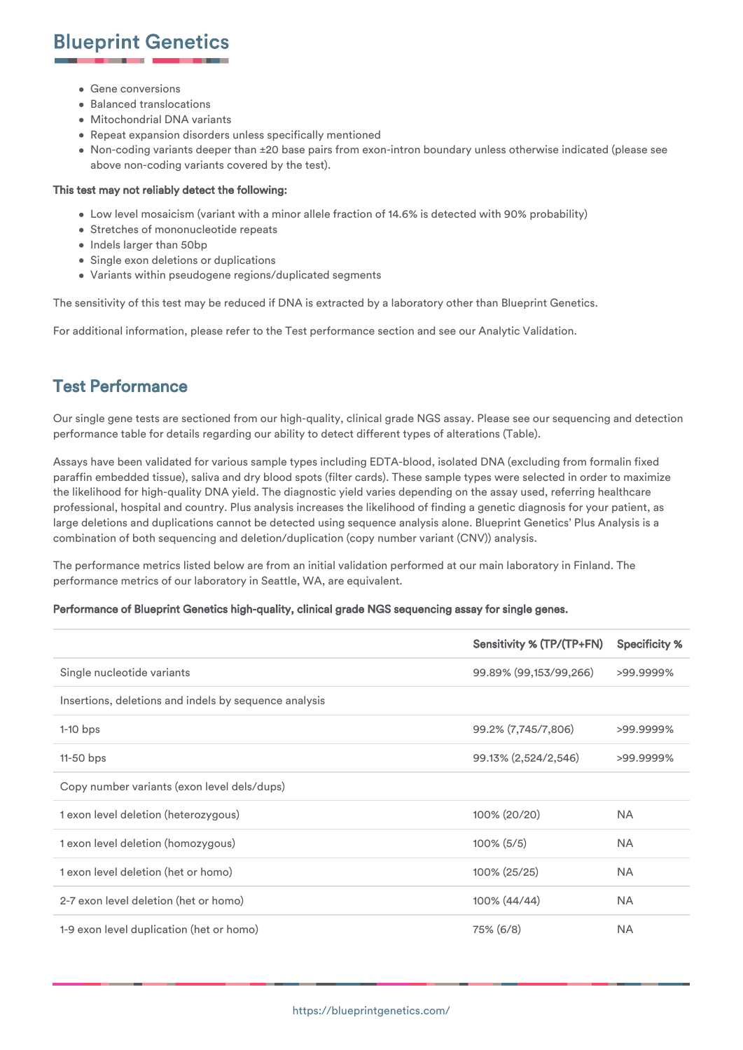- 
- **Gene conversions** • Balanced translocations
- Mitochondrial DNA variants
- Repeat expansion disorders unless specifically mentioned
- Non-coding variants deeper than ±20 base pairs from exon-intron boundary unless otherwise indicated (please see above non-coding variants covered by the test).

#### This test may not reliably detect the following:

- Low level mosaicism (variant with a minor allele fraction of 14.6% is detected with 90% probability)
- Stretches of mononucleotide repeats
- Indels larger than 50bp
- Single exon deletions or duplications
- Variants within pseudogene regions/duplicated segments

The sensitivity of this test may be reduced if DNA is extracted by a laboratory other than Blueprint Genetics.

For additional information, please refer to the Test performance section and see our Analytic Validation.

### Test Performance

Our single gene tests are sectioned from our high-quality, clinical grade NGS assay. Please see our sequencing and detection performance table for details regarding our ability to detect different types of alterations (Table).

Assays have been validated for various sample types including EDTA-blood, isolated DNA (excluding from formalin fixed paraffin embedded tissue), saliva and dry blood spots (filter cards). These sample types were selected in order to maximize the likelihood for high-quality DNA yield. The diagnostic yield varies depending on the assay used, referring healthcare professional, hospital and country. Plus analysis increases the likelihood of finding a genetic diagnosis for your patient, as large deletions and duplications cannot be detected using sequence analysis alone. Blueprint Genetics' Plus Analysis is a combination of both sequencing and deletion/duplication (copy number variant (CNV)) analysis.

The performance metrics listed below are from an initial validation performed at our main laboratory in Finland. The performance metrics of our laboratory in Seattle, WA, are equivalent.

#### Performance of Blueprint Genetics high-quality, clinical grade NGS sequencing assay for single genes.

|                                                       | Sensitivity % (TP/(TP+FN) | <b>Specificity %</b> |
|-------------------------------------------------------|---------------------------|----------------------|
| Single nucleotide variants                            | 99.89% (99,153/99,266)    | >99.9999%            |
| Insertions, deletions and indels by sequence analysis |                           |                      |
| $1-10$ bps                                            | 99.2% (7,745/7,806)       | >99.9999%            |
| $11-50$ bps                                           | 99.13% (2,524/2,546)      | >99.9999%            |
| Copy number variants (exon level dels/dups)           |                           |                      |
| 1 exon level deletion (heterozygous)                  | 100% (20/20)              | <b>NA</b>            |
| 1 exon level deletion (homozygous)                    | $100\%$ (5/5)             | <b>NA</b>            |
| 1 exon level deletion (het or homo)                   | 100% (25/25)              | <b>NA</b>            |
| 2-7 exon level deletion (het or homo)                 | 100% (44/44)              | <b>NA</b>            |
| 1-9 exon level duplication (het or homo)              | 75% (6/8)                 | <b>NA</b>            |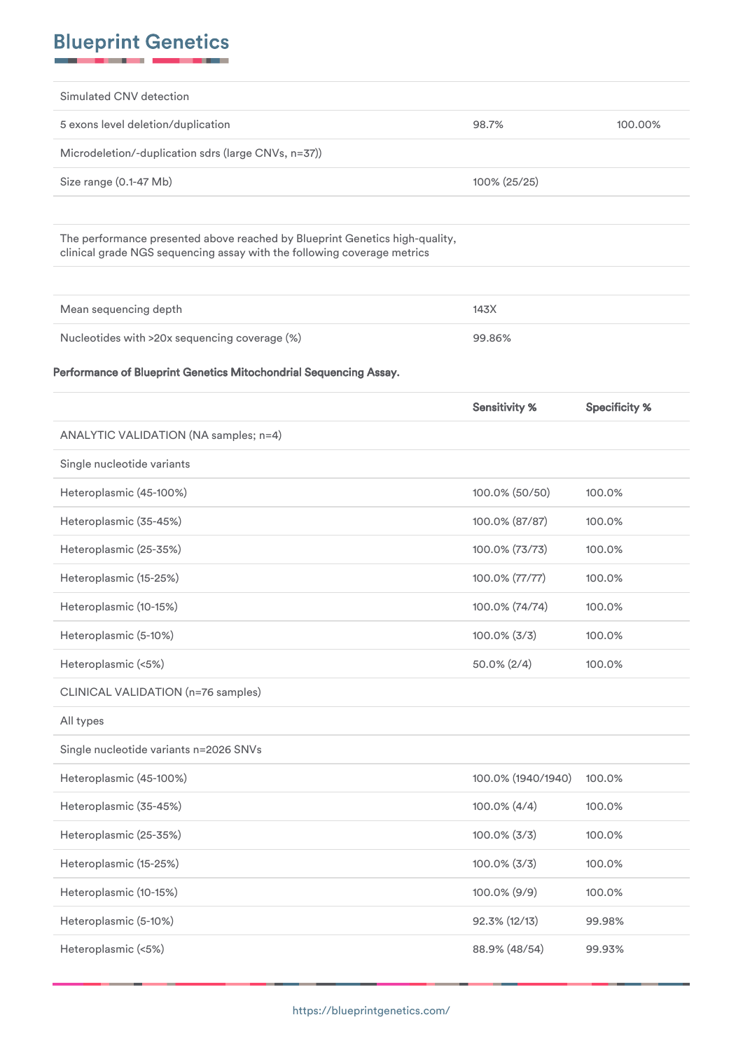| Simulated CNV detection                                                                                                                                |                      |                      |
|--------------------------------------------------------------------------------------------------------------------------------------------------------|----------------------|----------------------|
| 5 exons level deletion/duplication                                                                                                                     | 98.7%                | 100.00%              |
| Microdeletion/-duplication sdrs (large CNVs, n=37))                                                                                                    |                      |                      |
| Size range (0.1-47 Mb)                                                                                                                                 | 100% (25/25)         |                      |
|                                                                                                                                                        |                      |                      |
| The performance presented above reached by Blueprint Genetics high-quality,<br>clinical grade NGS sequencing assay with the following coverage metrics |                      |                      |
|                                                                                                                                                        |                      |                      |
| Mean sequencing depth                                                                                                                                  | 143X                 |                      |
| Nucleotides with >20x sequencing coverage (%)                                                                                                          | 99.86%               |                      |
| Performance of Blueprint Genetics Mitochondrial Sequencing Assay.                                                                                      |                      |                      |
|                                                                                                                                                        | <b>Sensitivity %</b> | <b>Specificity %</b> |
| ANALYTIC VALIDATION (NA samples; n=4)                                                                                                                  |                      |                      |
| Single nucleotide variants                                                                                                                             |                      |                      |
| Heteroplasmic (45-100%)                                                                                                                                | 100.0% (50/50)       | 100.0%               |
| Heteroplasmic (35-45%)                                                                                                                                 | 100.0% (87/87)       | 100.0%               |
| Heteroplasmic (25-35%)                                                                                                                                 | 100.0% (73/73)       | 100.0%               |
| Heteroplasmic (15-25%)                                                                                                                                 | 100.0% (77/77)       | 100.0%               |
| Heteroplasmic (10-15%)                                                                                                                                 | 100.0% (74/74)       | 100.0%               |
| Heteroplasmic (5-10%)                                                                                                                                  | $100.0\%$ (3/3)      | 100.0%               |
| Heteroplasmic (<5%)                                                                                                                                    | $50.0\% (2/4)$       | 100.0%               |
| CLINICAL VALIDATION (n=76 samples)                                                                                                                     |                      |                      |
| All types                                                                                                                                              |                      |                      |
| Single nucleotide variants n=2026 SNVs                                                                                                                 |                      |                      |
| Heteroplasmic (45-100%)                                                                                                                                | 100.0% (1940/1940)   | 100.0%               |
| Heteroplasmic (35-45%)                                                                                                                                 | 100.0% (4/4)         | 100.0%               |
| Heteroplasmic (25-35%)                                                                                                                                 | $100.0\%$ (3/3)      | 100.0%               |
| Heteroplasmic (15-25%)                                                                                                                                 | $100.0\%$ (3/3)      | 100.0%               |
| Heteroplasmic (10-15%)                                                                                                                                 | 100.0% (9/9)         | 100.0%               |
| Heteroplasmic (5-10%)                                                                                                                                  | 92.3% (12/13)        | 99.98%               |
| Heteroplasmic (<5%)                                                                                                                                    | 88.9% (48/54)        | 99.93%               |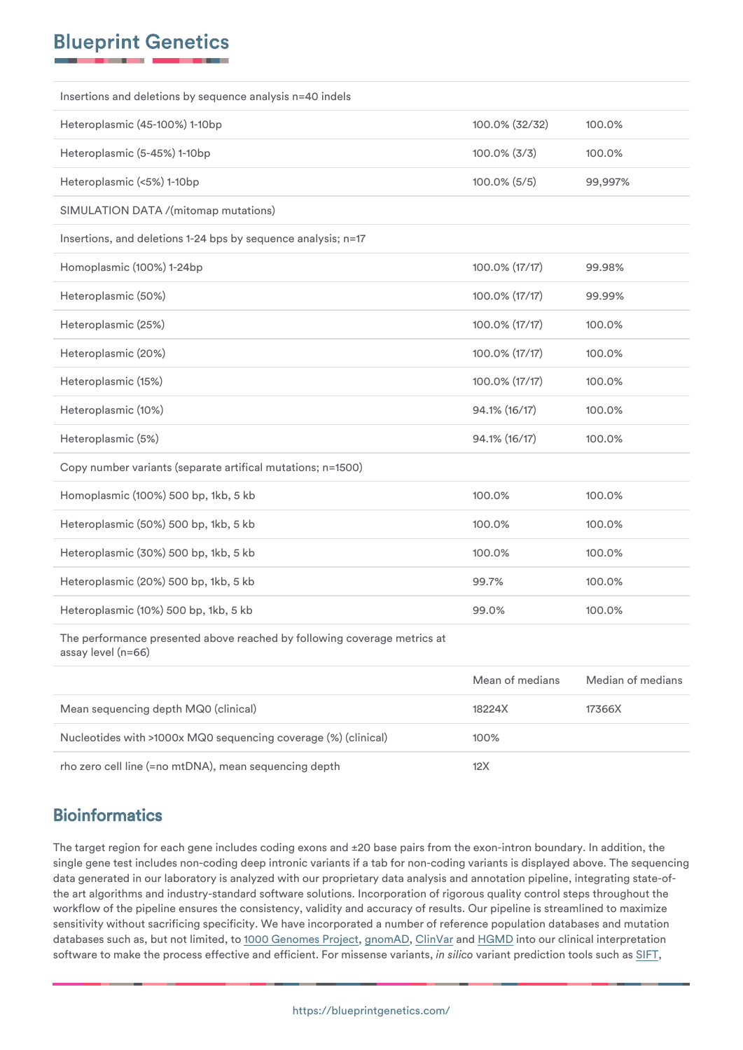| Insertions and deletions by sequence analysis n=40 indels                                      |                 |         |  |  |
|------------------------------------------------------------------------------------------------|-----------------|---------|--|--|
| Heteroplasmic (45-100%) 1-10bp                                                                 | 100.0% (32/32)  | 100.0%  |  |  |
| Heteroplasmic (5-45%) 1-10bp                                                                   | $100.0\%$ (3/3) | 100.0%  |  |  |
| Heteroplasmic (<5%) 1-10bp                                                                     | 100.0% (5/5)    | 99,997% |  |  |
| SIMULATION DATA /(mitomap mutations)                                                           |                 |         |  |  |
| Insertions, and deletions 1-24 bps by sequence analysis; n=17                                  |                 |         |  |  |
| Homoplasmic (100%) 1-24bp                                                                      | 100.0% (17/17)  | 99.98%  |  |  |
| Heteroplasmic (50%)                                                                            | 100.0% (17/17)  | 99.99%  |  |  |
| Heteroplasmic (25%)                                                                            | 100.0% (17/17)  | 100.0%  |  |  |
| Heteroplasmic (20%)                                                                            | 100.0% (17/17)  | 100.0%  |  |  |
| Heteroplasmic (15%)                                                                            | 100.0% (17/17)  | 100.0%  |  |  |
| Heteroplasmic (10%)                                                                            | 94.1% (16/17)   | 100.0%  |  |  |
| Heteroplasmic (5%)                                                                             | 94.1% (16/17)   | 100.0%  |  |  |
| Copy number variants (separate artifical mutations; n=1500)                                    |                 |         |  |  |
| Homoplasmic (100%) 500 bp, 1kb, 5 kb                                                           | 100.0%          | 100.0%  |  |  |
| Heteroplasmic (50%) 500 bp, 1kb, 5 kb                                                          | 100.0%          | 100.0%  |  |  |
| Heteroplasmic (30%) 500 bp, 1kb, 5 kb                                                          | 100.0%          | 100.0%  |  |  |
| Heteroplasmic (20%) 500 bp, 1kb, 5 kb                                                          | 99.7%           | 100.0%  |  |  |
| Heteroplasmic (10%) 500 bp, 1kb, 5 kb                                                          | 99.0%           | 100.0%  |  |  |
| The performance presented above reached by following coverage metrics at<br>assay level (n=66) |                 |         |  |  |

|                                                                | Mean of medians | Median of medians |
|----------------------------------------------------------------|-----------------|-------------------|
| Mean sequencing depth MQ0 (clinical)                           | 18224X          | 17366X            |
| Nucleotides with >1000x MQ0 sequencing coverage (%) (clinical) | 100%            |                   |
| rho zero cell line (=no mtDNA), mean sequencing depth          | 12X             |                   |

# **Bioinformatics**

The target region for each gene includes coding exons and ±20 base pairs from the exon-intron boundary. In addition, the single gene test includes non-coding deep intronic variants if a tab for non-coding variants is displayed above. The sequencing data generated in our laboratory is analyzed with our proprietary data analysis and annotation pipeline, integrating state-ofthe art algorithms and industry-standard software solutions. Incorporation of rigorous quality control steps throughout the workflow of the pipeline ensures the consistency, validity and accuracy of results. Our pipeline is streamlined to maximize sensitivity without sacrificing specificity. We have incorporated a number of reference population databases and mutation databases such as, but not limited, to [1000 Genomes Project](https://www.internationalgenome.org/home), [gnomAD](https://gnomad.broadinstitute.org), [ClinVar](https://www.ncbi.nlm.nih.gov/clinvar/) and [HGMD](https://blueprintgenetics.com/www.hgmd.cf.ac.uk/ac/index.php) into our clinical interpretation software to make the process effective and efficient. For missense variants, *in silico* variant prediction tools such as [SIFT,](https://sift.jcvi.org)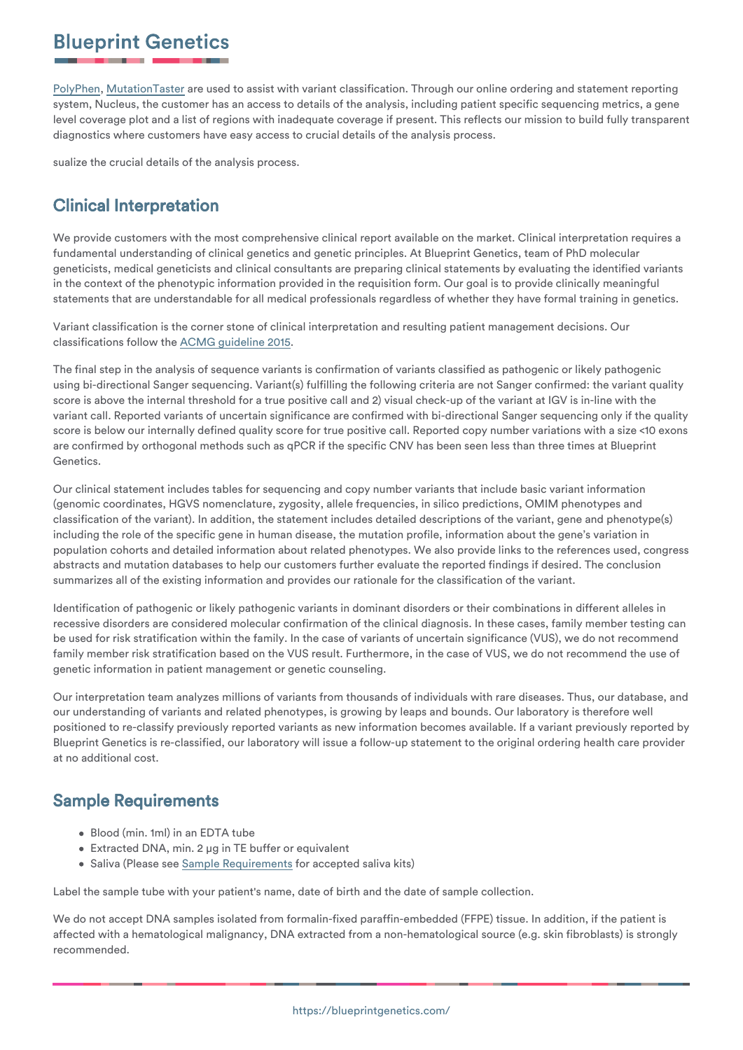[PolyPhen](https://genetics.bwh.harvard.edu/pph2/), [MutationTaster](https://www.mutationtaster.org) are used to assist with variant classification. Through our online ordering and statement reporting system, Nucleus, the customer has an access to details of the analysis, including patient specific sequencing metrics, a gene level coverage plot and a list of regions with inadequate coverage if present. This reflects our mission to build fully transparent diagnostics where customers have easy access to crucial details of the analysis process.

sualize the crucial details of the analysis process.

# Clinical Interpretation

We provide customers with the most comprehensive clinical report available on the market. Clinical interpretation requires a fundamental understanding of clinical genetics and genetic principles. At Blueprint Genetics, team of PhD molecular geneticists, medical geneticists and clinical consultants are preparing clinical statements by evaluating the identified variants in the context of the phenotypic information provided in the requisition form. Our goal is to provide clinically meaningful statements that are understandable for all medical professionals regardless of whether they have formal training in genetics.

Variant classification is the corner stone of clinical interpretation and resulting patient management decisions. Our classifications follow the [ACMG guideline 2015.](https://www.ncbi.nlm.nih.gov/pubmed/25741868)

The final step in the analysis of sequence variants is confirmation of variants classified as pathogenic or likely pathogenic using bi-directional Sanger sequencing. Variant(s) fulfilling the following criteria are not Sanger confirmed: the variant quality score is above the internal threshold for a true positive call and 2) visual check-up of the variant at IGV is in-line with the variant call. Reported variants of uncertain significance are confirmed with bi-directional Sanger sequencing only if the quality score is below our internally defined quality score for true positive call. Reported copy number variations with a size <10 exons are confirmed by orthogonal methods such as qPCR if the specific CNV has been seen less than three times at Blueprint Genetics.

Our clinical statement includes tables for sequencing and copy number variants that include basic variant information (genomic coordinates, HGVS nomenclature, zygosity, allele frequencies, in silico predictions, OMIM phenotypes and classification of the variant). In addition, the statement includes detailed descriptions of the variant, gene and phenotype(s) including the role of the specific gene in human disease, the mutation profile, information about the gene's variation in population cohorts and detailed information about related phenotypes. We also provide links to the references used, congress abstracts and mutation databases to help our customers further evaluate the reported findings if desired. The conclusion summarizes all of the existing information and provides our rationale for the classification of the variant.

Identification of pathogenic or likely pathogenic variants in dominant disorders or their combinations in different alleles in recessive disorders are considered molecular confirmation of the clinical diagnosis. In these cases, family member testing can be used for risk stratification within the family. In the case of variants of uncertain significance (VUS), we do not recommend family member risk stratification based on the VUS result. Furthermore, in the case of VUS, we do not recommend the use of genetic information in patient management or genetic counseling.

Our interpretation team analyzes millions of variants from thousands of individuals with rare diseases. Thus, our database, and our understanding of variants and related phenotypes, is growing by leaps and bounds. Our laboratory is therefore well positioned to re-classify previously reported variants as new information becomes available. If a variant previously reported by Blueprint Genetics is re-classified, our laboratory will issue a follow-up statement to the original ordering health care provider at no additional cost.

## Sample Requirements

- Blood (min. 1ml) in an EDTA tube
- Extracted DNA, min. 2 μg in TE buffer or equivalent
- **•** Saliva (Please see [Sample Requirements](https://blueprintgenetics.com/sample-requirements/) for accepted saliva kits)

Label the sample tube with your patient's name, date of birth and the date of sample collection.

We do not accept DNA samples isolated from formalin-fixed paraffin-embedded (FFPE) tissue. In addition, if the patient is affected with a hematological malignancy, DNA extracted from a non-hematological source (e.g. skin fibroblasts) is strongly recommended.